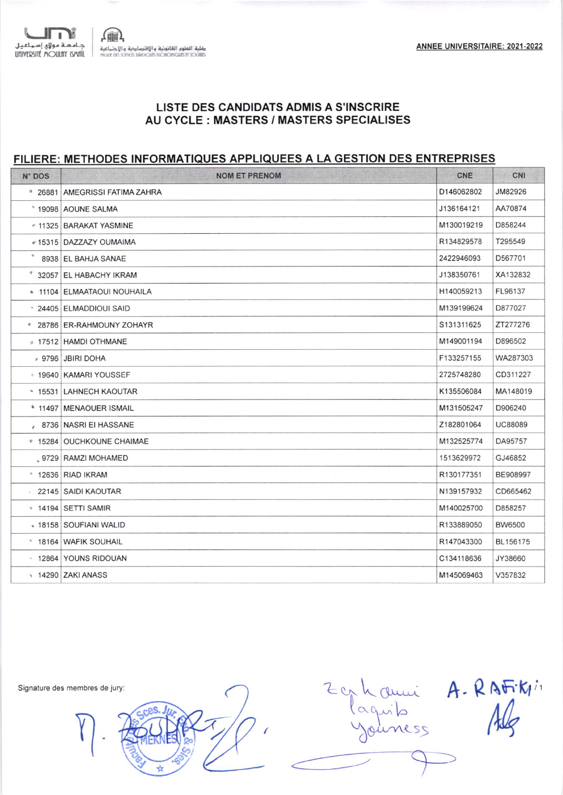

## LISTE DES CANDIDATS ADMIS A S'INSCRIRE AU CYCLE : MASTERS / MASTERS SPECIALISES

## FILIERE: METHODES INFORMATIQUES APPLIQUEES A LA GESTION DES ENTREPRISES

| N° DOS           | <b>NOM ET PRENOM</b>                      | <b>CNE</b> | CNI            |
|------------------|-------------------------------------------|------------|----------------|
|                  | <sup>2</sup> 26881 AMEGRISSI FATIMA ZAHRA | D146062802 | JM82926        |
|                  | * 19098 AOUNE SALMA                       | J136164121 | AA70874        |
|                  | * 11325 BARAKAT YASMINE                   | M130019219 | D858244        |
|                  | «15315   DAZZAZY OUMAIMA                  | R134829578 | T295549        |
| ٠                | 8938 EL BAHJA SANAE                       | 2422946093 | D567701        |
| $\boldsymbol{q}$ | 32057 EL HABACHY IKRAM                    | J138350761 | XA132832       |
|                  | * 11104 ELMAATAOUI NOUHAILA               | H140059213 | FL96137        |
|                  | * 24405 ELMADDIOUI SAID                   | M139199624 | D877027        |
|                  | * 28786 ER-RAHMOUNY ZOHAYR                | S131311625 | ZT277276       |
|                  | $\approx 17512$ HAMDI OTHMANE             | M149001194 | D896502        |
|                  | 9796 JBIRI DOHA                           | F133257155 | WA287303       |
|                  | <b>19640   KAMARI YOUSSEF</b>             | 2725748280 | CD311227       |
|                  | * 15531 LAHNECH KAOUTAR                   | K135506084 | MA148019       |
|                  | * 11497   MENAOUER ISMAIL                 | M131505247 | D906240        |
|                  | 8736 NASRI EI HASSANE                     | Z182801064 | <b>UC88089</b> |
|                  | ● 15284   OUCHKOUNE CHAIMAE               | M132525774 | DA95757        |
|                  | _9729 RAMZI MOHAMED                       | 1513629972 | GJ46852        |
|                  | $*$ 12636 RIAD IKRAM                      | R130177351 | BE908997       |
|                  | 22145   SAIDI KAOUTAR                     | N139157932 | CD665462       |
|                  | * 14194 SETTI SAMIR                       | M140025700 | D858257        |
|                  | - 18158   SOUFIANI WALID                  | R133889050 | <b>BW6500</b>  |
|                  | * 18164   WAFIK SOUHAIL                   | R147043300 | BL156175       |
|                  | 12864 YOUNS RIDOUAN                       | C134118636 | JY38660        |
|                  | 14290 ZAKI ANASS                          | M145069463 | V357832        |
|                  |                                           |            |                |

Signature des membres de jury:

hauni A. RAFiti